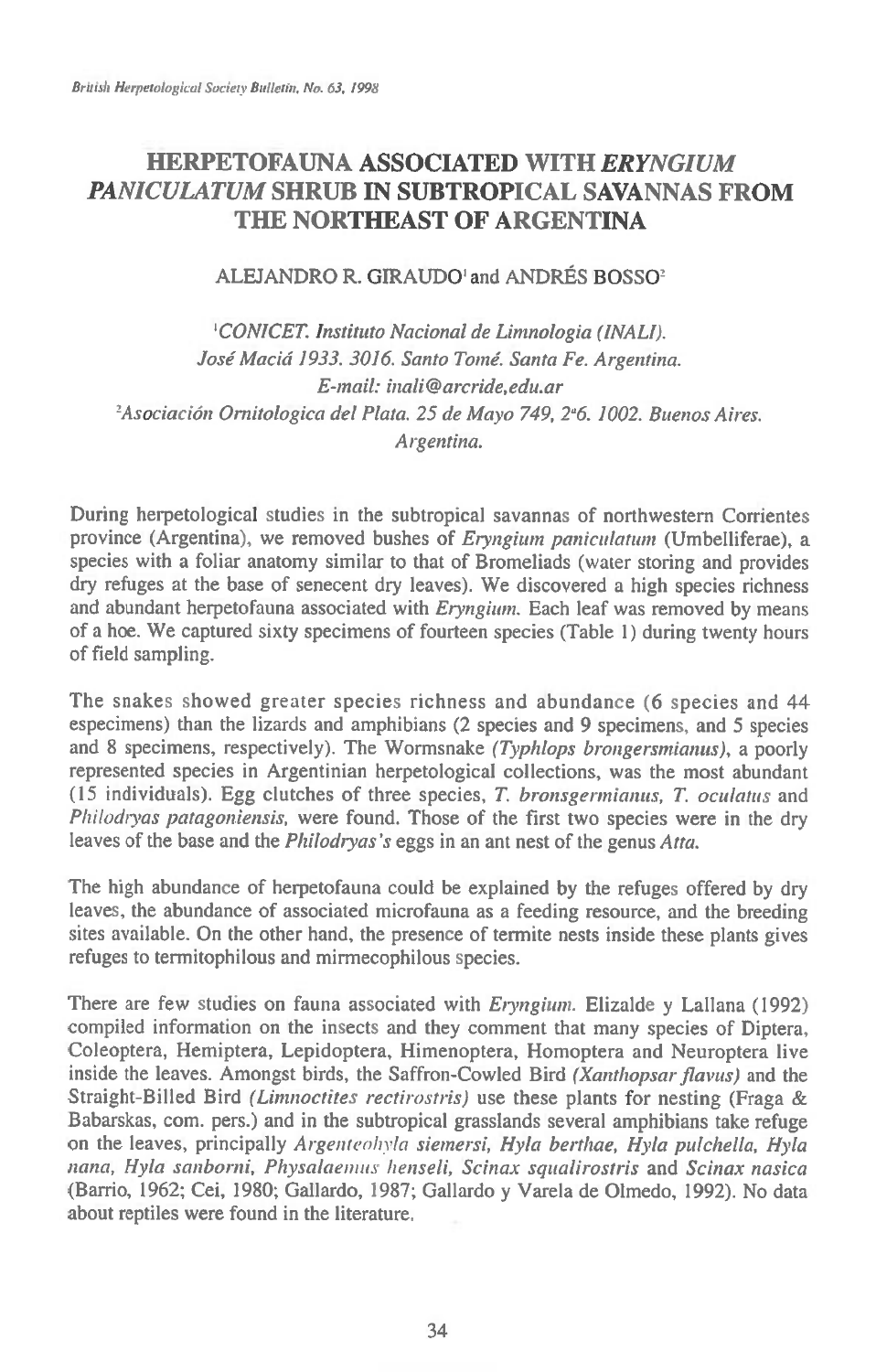# **HERPETOFAUNA ASSOCIATED WITH** *ERYNGIUM PANICULATUM* **SHRUB IN SUBTROPICAL SAVANNAS FROM THE NORTHEAST OF ARGENTINA**

### ALEJANDRO R. GIRAUDO' and ANDRES BOSSO2

*'CONICET. Instituto Nacional de Limnologia (INALI). Jose Macid 1933. 3016. Santo Tome. Santa Fe. Argentina. E-mail: inali@arcride,edu.ar*  <sup>2</sup> Asociación Ornitologica del Plata. 25 de Mayo 749, 2<sup>ª</sup>6. 1002. Buenos Aires. *Argentina.* 

During herpetological studies in the subtropical savannas of northwestern Corrientes province (Argentina), we removed bushes of *Eryngium paniculatum* (Umbelliferae), a species with a foliar anatomy similar to that of Bromeliads (water storing and provides dry refuges at the base of senecent dry leaves). We discovered a high species richness and abundant herpetofauna associated with *Eryngium.* Each leaf was removed by means of a hoe. We captured sixty specimens of fourteen species (Table 1) during twenty hours of field sampling.

The snakes showed greater species richness and abundance (6 species and 44 especimens) than the lizards and amphibians (2 species and 9 specimens, and 5 species and 8 specimens, respectively). The Wormsnake *(Typhlops brongersntianus),* a poorly represented species in Argentinian herpetological collections, was the most abundant (15 individuals). Egg clutches of three species, *T. bronsgermianus, T. oculatus* and *Philodtyas patagoniensis,* were found. Those of the first two species were in the dry leaves of the base and the *Philodryas's* eggs in an ant nest of the genus *Atta*.

The high abundance of herpetofauna could be explained by the refuges offered by dry leaves, the abundance of associated microfauna as a feeding resource, and the breeding sites available. On the other hand, the presence of termite nests inside these plants gives refuges to termitophilous and mirmecophilous species.

There are few studies on fauna associated with *Eryngium*. Elizalde y Lallana (1992) compiled information on the insects and they comment that many species of Diptera, Coleoptera, Hemiptera, Lepidoptera, Himenoptera, Homoptera and Neuroptera live inside the leaves. Amongst birds, the Saffron-Cowled Bird *(Xanthopsar flavus)* and the Straight-Billed Bird *(Limnoctites rectirostris)* use these plants for nesting (Fraga & Babarskas, com. pers.) and in the subtropical grasslands several amphibians take refuge on the leaves, principally *Argenteohyla siemersi, Hyla berthae, Hyla pulchella, Hyla nana, Hyla sanborni, Physalaenius henseli, Scinax squalirostris* and *Scinax nasica*  (Barrio, 1962; Cei, 1980; Gallardo, 1987; Gallardo y Varela de Olmedo, 1992). No data about reptiles were found in the literature.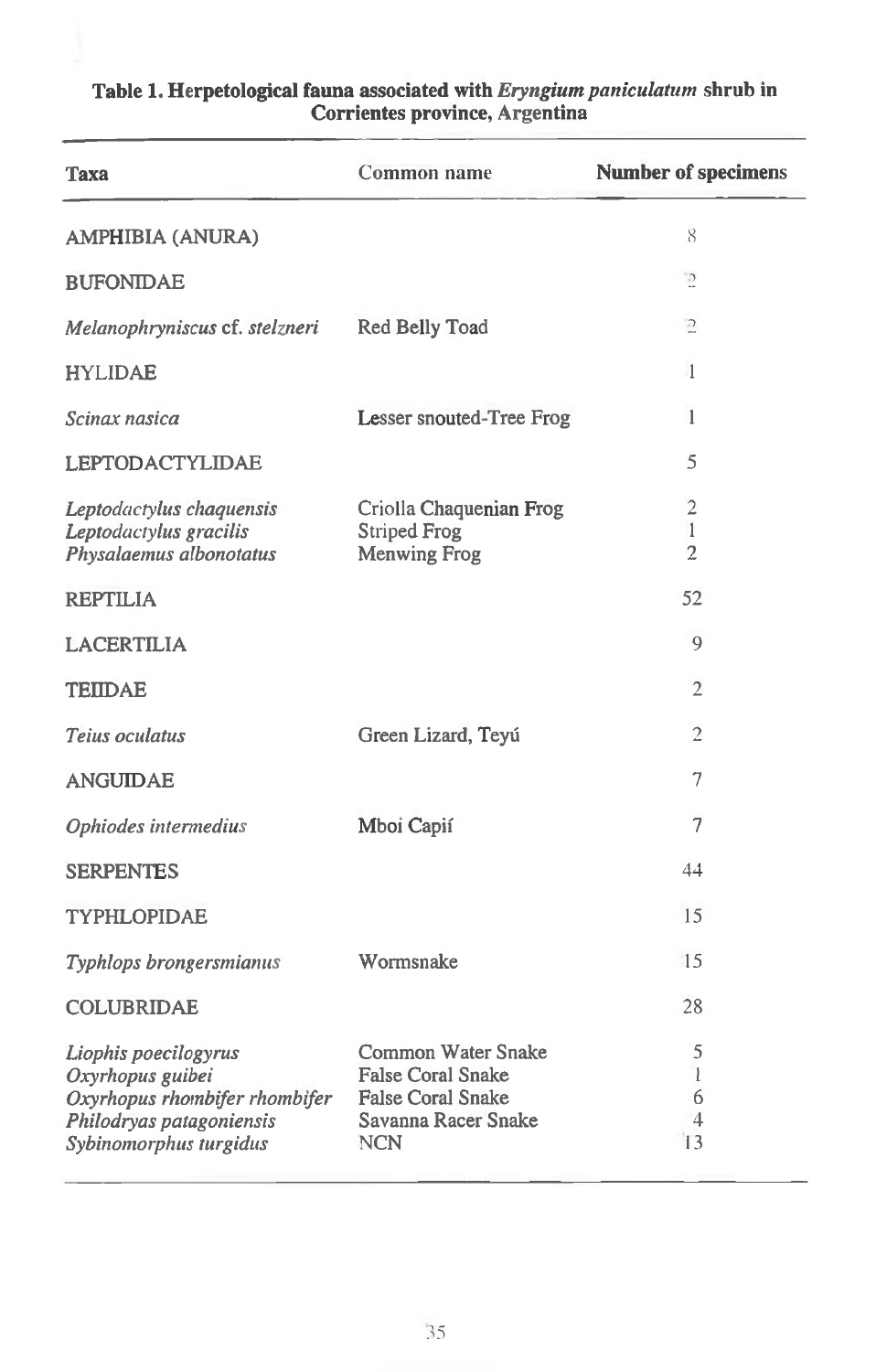| Taxa                                                                                                                            | Common name                                                                                                     | <b>Number of specimens</b>                       |
|---------------------------------------------------------------------------------------------------------------------------------|-----------------------------------------------------------------------------------------------------------------|--------------------------------------------------|
| <b>AMPHIBIA (ANURA)</b>                                                                                                         |                                                                                                                 | 8                                                |
| <b>BUFONIDAE</b>                                                                                                                |                                                                                                                 | P                                                |
| Melanophryniscus cf. stelzneri                                                                                                  | Red Belly Toad                                                                                                  | $\supseteq$                                      |
| <b>HYLIDAE</b>                                                                                                                  |                                                                                                                 | $\mathbf{1}$                                     |
| Scinax nasica                                                                                                                   | Lesser snouted-Tree Frog                                                                                        | 1                                                |
| LEPTODACTYLIDAE                                                                                                                 |                                                                                                                 | 5                                                |
| Leptodactylus chaquensis<br>Leptodactylus gracilis<br>Physalaemus albonotatus                                                   | Criolla Chaquenian Frog<br><b>Striped Frog</b><br><b>Menwing Frog</b>                                           | $\overline{2}$<br>$\mathbf{1}$<br>$\overline{2}$ |
| <b>REPTILIA</b>                                                                                                                 |                                                                                                                 | 52                                               |
| LACERTILIA                                                                                                                      |                                                                                                                 | 9                                                |
| <b>TEIIDAE</b>                                                                                                                  |                                                                                                                 | 2                                                |
| Teius oculatus                                                                                                                  | Green Lizard, Teyú                                                                                              | $\overline{2}$                                   |
| <b>ANGUIDAE</b>                                                                                                                 |                                                                                                                 | 7                                                |
| Ophiodes intermedius                                                                                                            | Mboi Capií                                                                                                      | 7                                                |
| <b>SERPENTES</b>                                                                                                                |                                                                                                                 | 44                                               |
| <b>TYPHLOPIDAE</b>                                                                                                              |                                                                                                                 | 15                                               |
| Typhlops brongersmianus                                                                                                         | Wormsnake                                                                                                       | 15                                               |
| <b>COLUBRIDAE</b>                                                                                                               |                                                                                                                 | 28                                               |
| Liophis poecilogyrus<br>Oxyrhopus guibei<br>Oxyrhopus rhombifer rhombifer<br>Philodryas patagoniensis<br>Sybinomorphus turgidus | Common Water Snake<br><b>False Coral Snake</b><br><b>False Coral Snake</b><br>Savanna Racer Snake<br><b>NCN</b> | 5<br>1<br>6<br>4<br>13                           |

## **Table 1. Herpetological fauna associated with** *Eryngium paniculatum* **shrub in Corrientes province, Argentina**